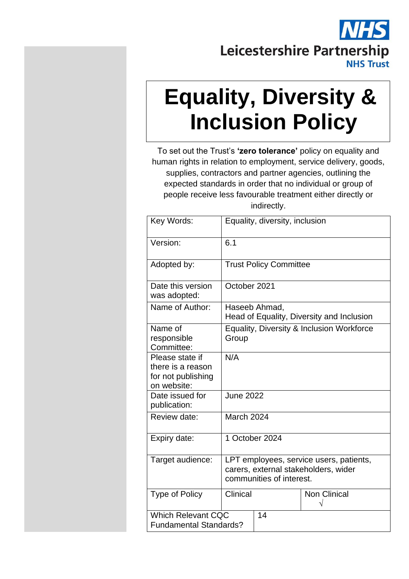

# **Equality, Diversity & Inclusion Policy**

To set out the Trust's **'zero tolerance'** policy on equality and human rights in relation to employment, service delivery, goods, supplies, contractors and partner agencies, outlining the expected standards in order that no individual or group of people receive less favourable treatment either directly or indirectly.

| Key Words:                                                                | Equality, diversity, inclusion                                                                              |                                                            |                     |  |
|---------------------------------------------------------------------------|-------------------------------------------------------------------------------------------------------------|------------------------------------------------------------|---------------------|--|
| Version:                                                                  | 6.1                                                                                                         |                                                            |                     |  |
| Adopted by:                                                               |                                                                                                             | <b>Trust Policy Committee</b>                              |                     |  |
| Date this version<br>was adopted:                                         | October 2021                                                                                                |                                                            |                     |  |
| Name of Author:                                                           |                                                                                                             | Haseeb Ahmad,<br>Head of Equality, Diversity and Inclusion |                     |  |
| Name of<br>responsible<br>Committee:                                      | Equality, Diversity & Inclusion Workforce<br>Group                                                          |                                                            |                     |  |
| Please state if<br>there is a reason<br>for not publishing<br>on website: | N/A                                                                                                         |                                                            |                     |  |
| Date issued for<br>publication:                                           | <b>June 2022</b>                                                                                            |                                                            |                     |  |
| Review date:                                                              | March 2024                                                                                                  |                                                            |                     |  |
| Expiry date:                                                              | 1 October 2024                                                                                              |                                                            |                     |  |
| Target audience:                                                          | LPT employees, service users, patients,<br>carers, external stakeholders, wider<br>communities of interest. |                                                            |                     |  |
| <b>Type of Policy</b>                                                     | Clinical                                                                                                    |                                                            | <b>Non Clinical</b> |  |
| <b>Which Relevant CQC</b><br><b>Fundamental Standards?</b>                |                                                                                                             | 14                                                         |                     |  |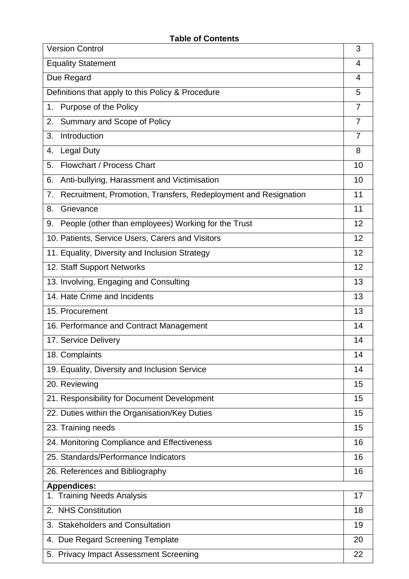| <b>Version Control</b>                                                |                |  |
|-----------------------------------------------------------------------|----------------|--|
| <b>Equality Statement</b>                                             |                |  |
| Due Regard                                                            |                |  |
| Definitions that apply to this Policy & Procedure                     |                |  |
| Purpose of the Policy<br>1 <sub>1</sub>                               | 7              |  |
| Summary and Scope of Policy<br>2.                                     | $\overline{7}$ |  |
| Introduction<br>3.                                                    | $\overline{7}$ |  |
| <b>Legal Duty</b><br>4.                                               | 8              |  |
| Flowchart / Process Chart<br>5.                                       | 10             |  |
| 6.<br>Anti-bullying, Harassment and Victimisation                     | 10             |  |
| Recruitment, Promotion, Transfers, Redeployment and Resignation<br>7. | 11             |  |
| 8.<br>Grievance                                                       | 11             |  |
| People (other than employees) Working for the Trust<br>9.             | 12             |  |
| 10. Patients, Service Users, Carers and Visitors                      | 12             |  |
| 11. Equality, Diversity and Inclusion Strategy                        | 12             |  |
| 12. Staff Support Networks                                            | 12             |  |
| 13. Involving, Engaging and Consulting                                | 13             |  |
| 14. Hate Crime and Incidents                                          |                |  |
| 15. Procurement                                                       |                |  |
| 16. Performance and Contract Management                               | 14             |  |
| 17. Service Delivery                                                  | 14             |  |
| 18. Complaints                                                        | 14             |  |
| 19. Equality, Diversity and Inclusion Service                         | 14             |  |
| 20. Reviewing                                                         | 15             |  |
| 21. Responsibility for Document Development                           | 15             |  |
| 22. Duties within the Organisation/Key Duties                         | 15             |  |
| 23. Training needs                                                    | 15             |  |
| 24. Monitoring Compliance and Effectiveness                           | 16             |  |
| 25. Standards/Performance Indicators                                  | 16             |  |
| 26. References and Bibliography                                       |                |  |
| <b>Appendices:</b>                                                    |                |  |
| <b>Training Needs Analysis</b>                                        | 17             |  |
| 2. NHS Constitution                                                   | 18             |  |
| 3. Stakeholders and Consultation                                      | 19             |  |
| 4. Due Regard Screening Template                                      |                |  |
| 5. Privacy Impact Assessment Screening                                |                |  |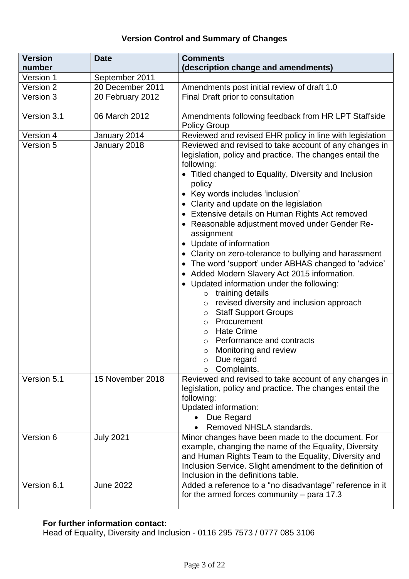## **Version Control and Summary of Changes**

| <b>Version</b>         | <b>Date</b>                        | <b>Comments</b>                                                                                                                                                                                                                                                                                                                                                                                                                                                                                                                                                                                                                                                                                                                                                                                                                                                                                                                 |
|------------------------|------------------------------------|---------------------------------------------------------------------------------------------------------------------------------------------------------------------------------------------------------------------------------------------------------------------------------------------------------------------------------------------------------------------------------------------------------------------------------------------------------------------------------------------------------------------------------------------------------------------------------------------------------------------------------------------------------------------------------------------------------------------------------------------------------------------------------------------------------------------------------------------------------------------------------------------------------------------------------|
| number                 |                                    | (description change and amendments)                                                                                                                                                                                                                                                                                                                                                                                                                                                                                                                                                                                                                                                                                                                                                                                                                                                                                             |
| Version 1<br>Version 2 | September 2011<br>20 December 2011 |                                                                                                                                                                                                                                                                                                                                                                                                                                                                                                                                                                                                                                                                                                                                                                                                                                                                                                                                 |
| Version 3              | 20 February 2012                   | Amendments post initial review of draft 1.0                                                                                                                                                                                                                                                                                                                                                                                                                                                                                                                                                                                                                                                                                                                                                                                                                                                                                     |
|                        |                                    | Final Draft prior to consultation                                                                                                                                                                                                                                                                                                                                                                                                                                                                                                                                                                                                                                                                                                                                                                                                                                                                                               |
| Version 3.1            | 06 March 2012                      | Amendments following feedback from HR LPT Staffside<br><b>Policy Group</b>                                                                                                                                                                                                                                                                                                                                                                                                                                                                                                                                                                                                                                                                                                                                                                                                                                                      |
| Version 4              | January 2014                       | Reviewed and revised EHR policy in line with legislation                                                                                                                                                                                                                                                                                                                                                                                                                                                                                                                                                                                                                                                                                                                                                                                                                                                                        |
| Version 5              | January 2018                       | Reviewed and revised to take account of any changes in<br>legislation, policy and practice. The changes entail the<br>following:<br>• Titled changed to Equality, Diversity and Inclusion<br>policy<br>• Key words includes 'inclusion'<br>• Clarity and update on the legislation<br>• Extensive details on Human Rights Act removed<br>• Reasonable adjustment moved under Gender Re-<br>assignment<br>• Update of information<br>Clarity on zero-tolerance to bullying and harassment<br>• The word 'support' under ABHAS changed to 'advice'<br>• Added Modern Slavery Act 2015 information.<br>• Updated information under the following:<br>$\circ$ training details<br>revised diversity and inclusion approach<br>$\circ$<br><b>Staff Support Groups</b><br>$\circ$<br>Procurement<br>$\circ$<br><b>Hate Crime</b><br>$\circ$<br>Performance and contracts<br>$\circ$<br>Monitoring and review<br>$\circ$<br>Due regard |
| Version 5.1            | 15 November 2018                   | Complaints.<br>Reviewed and revised to take account of any changes in<br>legislation, policy and practice. The changes entail the<br>following:<br>Updated information:<br>Due Regard<br>Removed NHSLA standards.                                                                                                                                                                                                                                                                                                                                                                                                                                                                                                                                                                                                                                                                                                               |
| Version 6              | <b>July 2021</b>                   | Minor changes have been made to the document. For<br>example, changing the name of the Equality, Diversity<br>and Human Rights Team to the Equality, Diversity and<br>Inclusion Service. Slight amendment to the definition of<br>Inclusion in the definitions table.                                                                                                                                                                                                                                                                                                                                                                                                                                                                                                                                                                                                                                                           |
| Version 6.1            | <b>June 2022</b>                   | Added a reference to a "no disadvantage" reference in it<br>for the armed forces community $-$ para 17.3                                                                                                                                                                                                                                                                                                                                                                                                                                                                                                                                                                                                                                                                                                                                                                                                                        |

#### **For further information contact:**

Head of Equality, Diversity and Inclusion - 0116 295 7573 / 0777 085 3106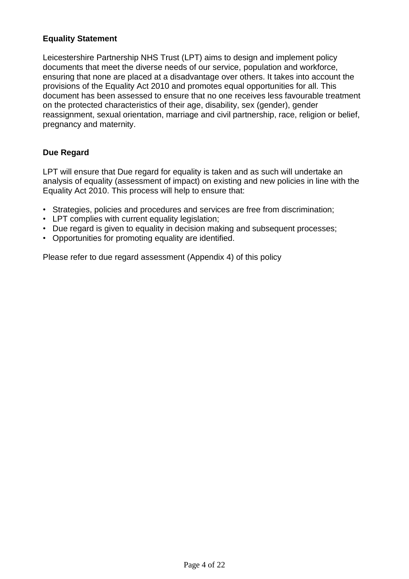## **Equality Statement**

Leicestershire Partnership NHS Trust (LPT) aims to design and implement policy documents that meet the diverse needs of our service, population and workforce, ensuring that none are placed at a disadvantage over others. It takes into account the provisions of the Equality Act 2010 and promotes equal opportunities for all. This document has been assessed to ensure that no one receives less favourable treatment on the protected characteristics of their age, disability, sex (gender), gender reassignment, sexual orientation, marriage and civil partnership, race, religion or belief, pregnancy and maternity.

## **Due Regard**

LPT will ensure that Due regard for equality is taken and as such will undertake an analysis of equality (assessment of impact) on existing and new policies in line with the Equality Act 2010. This process will help to ensure that:

- Strategies, policies and procedures and services are free from discrimination;
- LPT complies with current equality legislation;
- Due regard is given to equality in decision making and subsequent processes;
- Opportunities for promoting equality are identified.

Please refer to due regard assessment (Appendix 4) of this policy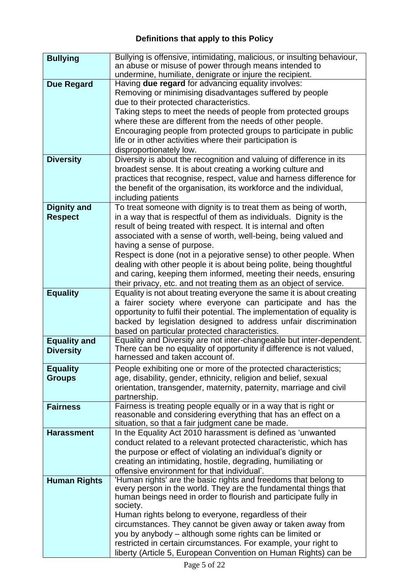# **Definitions that apply to this Policy**

| <b>Bullying</b>     | Bullying is offensive, intimidating, malicious, or insulting behaviour,                                                            |
|---------------------|------------------------------------------------------------------------------------------------------------------------------------|
|                     | an abuse or misuse of power through means intended to                                                                              |
|                     | undermine, humiliate, denigrate or injure the recipient.                                                                           |
| <b>Due Regard</b>   | Having due regard for advancing equality involves:                                                                                 |
|                     | Removing or minimising disadvantages suffered by people                                                                            |
|                     | due to their protected characteristics.                                                                                            |
|                     | Taking steps to meet the needs of people from protected groups                                                                     |
|                     | where these are different from the needs of other people.                                                                          |
|                     | Encouraging people from protected groups to participate in public                                                                  |
|                     | life or in other activities where their participation is                                                                           |
|                     | disproportionately low.                                                                                                            |
| <b>Diversity</b>    | Diversity is about the recognition and valuing of difference in its                                                                |
|                     | broadest sense. It is about creating a working culture and                                                                         |
|                     | practices that recognise, respect, value and harness difference for                                                                |
|                     | the benefit of the organisation, its workforce and the individual,                                                                 |
|                     | including patients                                                                                                                 |
| <b>Dignity and</b>  | To treat someone with dignity is to treat them as being of worth,                                                                  |
| <b>Respect</b>      | in a way that is respectful of them as individuals. Dignity is the                                                                 |
|                     | result of being treated with respect. It is internal and often                                                                     |
|                     | associated with a sense of worth, well-being, being valued and                                                                     |
|                     | having a sense of purpose.                                                                                                         |
|                     | Respect is done (not in a pejorative sense) to other people. When                                                                  |
|                     | dealing with other people it is about being polite, being thoughtful                                                               |
|                     | and caring, keeping them informed, meeting their needs, ensuring                                                                   |
|                     | their privacy, etc. and not treating them as an object of service.                                                                 |
| <b>Equality</b>     | Equality is not about treating everyone the same it is about creating                                                              |
|                     | a fairer society where everyone can participate and has the                                                                        |
|                     | opportunity to fulfil their potential. The implementation of equality is                                                           |
|                     | backed by legislation designed to address unfair discrimination<br>based on particular protected characteristics.                  |
| <b>Equality and</b> | Equality and Diversity are not inter-changeable but inter-dependent.                                                               |
| <b>Diversity</b>    | There can be no equality of opportunity if difference is not valued,                                                               |
|                     | harnessed and taken account of.                                                                                                    |
| <b>Equality</b>     | People exhibiting one or more of the protected characteristics;                                                                    |
| <b>Groups</b>       | age, disability, gender, ethnicity, religion and belief, sexual                                                                    |
|                     | orientation, transgender, maternity, paternity, marriage and civil                                                                 |
|                     | partnership.                                                                                                                       |
| <b>Fairness</b>     | Fairness is treating people equally or in a way that is right or                                                                   |
|                     | reasonable and considering everything that has an effect on a                                                                      |
|                     | situation, so that a fair judgment cane be made.                                                                                   |
| <b>Harassment</b>   | In the Equality Act 2010 harassment is defined as 'unwanted                                                                        |
|                     | conduct related to a relevant protected characteristic, which has                                                                  |
|                     | the purpose or effect of violating an individual's dignity or                                                                      |
|                     | creating an intimidating, hostile, degrading, humiliating or                                                                       |
|                     | offensive environment for that individual'.                                                                                        |
| <b>Human Rights</b> | 'Human rights' are the basic rights and freedoms that belong to<br>every person in the world. They are the fundamental things that |
|                     | human beings need in order to flourish and participate fully in                                                                    |
|                     | society.                                                                                                                           |
|                     | Human rights belong to everyone, regardless of their                                                                               |
|                     | circumstances. They cannot be given away or taken away from                                                                        |
|                     | you by anybody – although some rights can be limited or                                                                            |
|                     | restricted in certain circumstances. For example, your right to                                                                    |
|                     | liberty (Article 5, European Convention on Human Rights) can be                                                                    |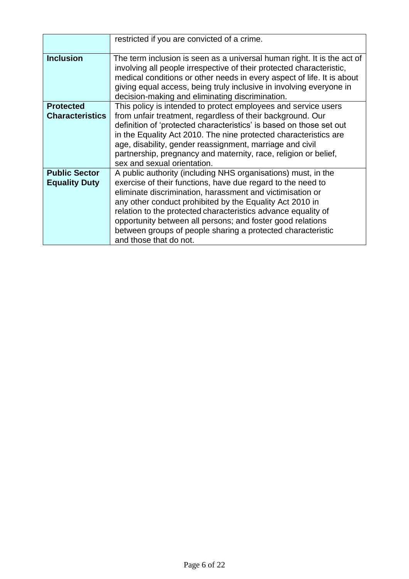|                                              | restricted if you are convicted of a crime.                                                                                                                                                                                                                                                                                                                                                                                                                                   |
|----------------------------------------------|-------------------------------------------------------------------------------------------------------------------------------------------------------------------------------------------------------------------------------------------------------------------------------------------------------------------------------------------------------------------------------------------------------------------------------------------------------------------------------|
| <b>Inclusion</b>                             | The term inclusion is seen as a universal human right. It is the act of<br>involving all people irrespective of their protected characteristic,<br>medical conditions or other needs in every aspect of life. It is about<br>giving equal access, being truly inclusive in involving everyone in<br>decision-making and eliminating discrimination.                                                                                                                           |
| <b>Protected</b><br><b>Characteristics</b>   | This policy is intended to protect employees and service users<br>from unfair treatment, regardless of their background. Our<br>definition of 'protected characteristics' is based on those set out<br>in the Equality Act 2010. The nine protected characteristics are<br>age, disability, gender reassignment, marriage and civil<br>partnership, pregnancy and maternity, race, religion or belief,<br>sex and sexual orientation.                                         |
| <b>Public Sector</b><br><b>Equality Duty</b> | A public authority (including NHS organisations) must, in the<br>exercise of their functions, have due regard to the need to<br>eliminate discrimination, harassment and victimisation or<br>any other conduct prohibited by the Equality Act 2010 in<br>relation to the protected characteristics advance equality of<br>opportunity between all persons; and foster good relations<br>between groups of people sharing a protected characteristic<br>and those that do not. |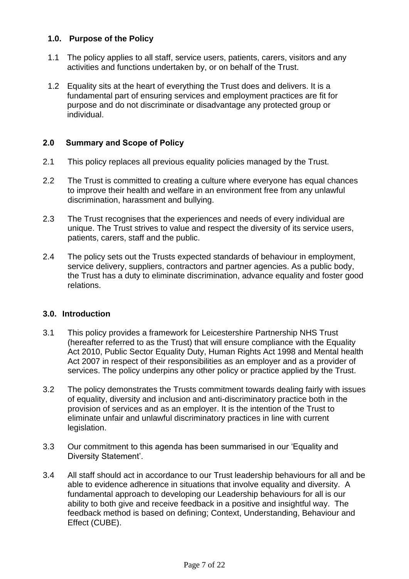#### **1.0. Purpose of the Policy**

- 1.1 The policy applies to all staff, service users, patients, carers, visitors and any activities and functions undertaken by, or on behalf of the Trust.
- 1.2 Equality sits at the heart of everything the Trust does and delivers. It is a fundamental part of ensuring services and employment practices are fit for purpose and do not discriminate or disadvantage any protected group or individual.

#### **2.0 Summary and Scope of Policy**

- 2.1 This policy replaces all previous equality policies managed by the Trust.
- 2.2 The Trust is committed to creating a culture where everyone has equal chances to improve their health and welfare in an environment free from any unlawful discrimination, harassment and bullying.
- 2.3 The Trust recognises that the experiences and needs of every individual are unique. The Trust strives to value and respect the diversity of its service users, patients, carers, staff and the public.
- 2.4 The policy sets out the Trusts expected standards of behaviour in employment, service delivery, suppliers, contractors and partner agencies. As a public body, the Trust has a duty to eliminate discrimination, advance equality and foster good relations.

#### **3.0. Introduction**

- 3.1 This policy provides a framework for Leicestershire Partnership NHS Trust (hereafter referred to as the Trust) that will ensure compliance with the Equality Act 2010, Public Sector Equality Duty, Human Rights Act 1998 and Mental health Act 2007 in respect of their responsibilities as an employer and as a provider of services. The policy underpins any other policy or practice applied by the Trust.
- 3.2 The policy demonstrates the Trusts commitment towards dealing fairly with issues of equality, diversity and inclusion and anti-discriminatory practice both in the provision of services and as an employer. It is the intention of the Trust to eliminate unfair and unlawful discriminatory practices in line with current legislation.
- 3.3 Our commitment to this agenda has been summarised in our 'Equality and Diversity Statement'.
- 3.4 All staff should act in accordance to our Trust leadership behaviours for all and be able to evidence adherence in situations that involve equality and diversity. A fundamental approach to developing our Leadership behaviours for all is our ability to both give and receive feedback in a positive and insightful way. The feedback method is based on defining; Context, Understanding, Behaviour and Effect (CUBE).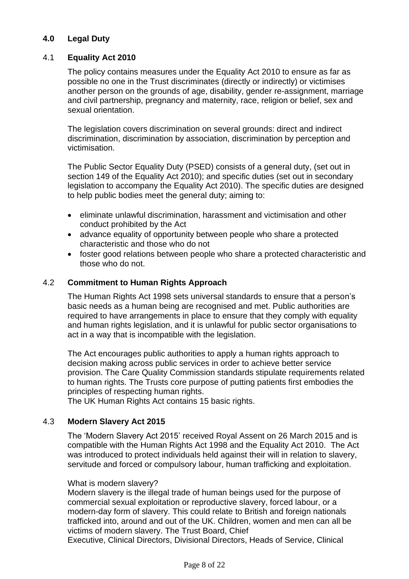#### **4.0 Legal Duty**

#### 4.1 **Equality Act 2010**

The policy contains measures under the Equality Act 2010 to ensure as far as possible no one in the Trust discriminates (directly or indirectly) or victimises another person on the grounds of age, disability, gender re-assignment, marriage and civil partnership, pregnancy and maternity, race, religion or belief, sex and sexual orientation.

The legislation covers discrimination on several grounds: direct and indirect discrimination, discrimination by association, discrimination by perception and victimisation.

The Public Sector Equality Duty (PSED) consists of a general duty, (set out in section 149 of the Equality Act 2010); and specific duties (set out in secondary legislation to accompany the Equality Act 2010). The specific duties are designed to help public bodies meet the general duty; aiming to:

- eliminate unlawful discrimination, harassment and victimisation and other conduct prohibited by the Act
- advance equality of opportunity between people who share a protected characteristic and those who do not
- foster good relations between people who share a protected characteristic and those who do not.

#### 4.2 **Commitment to Human Rights Approach**

The Human Rights Act 1998 sets universal standards to ensure that a person's basic needs as a human being are recognised and met. Public authorities are required to have arrangements in place to ensure that they comply with equality and human rights legislation, and it is unlawful for public sector organisations to act in a way that is incompatible with the legislation.

The Act encourages public authorities to apply a human rights approach to decision making across public services in order to achieve better service provision. The Care Quality Commission standards stipulate requirements related to human rights. The Trusts core purpose of putting patients first embodies the principles of respecting human rights.

The UK Human Rights Act contains 15 basic rights.

#### 4.3 **Modern Slavery Act 2015**

The 'Modern Slavery Act 2015' received Royal Assent on 26 March 2015 and is compatible with the Human Rights Act 1998 and the Equality Act 2010. The Act was introduced to protect individuals held against their will in relation to slavery, servitude and forced or compulsory labour, human trafficking and exploitation.

#### What is modern slavery?

Modern slavery is the illegal trade of human beings used for the purpose of commercial sexual exploitation or reproductive slavery, forced labour, or a modern-day form of slavery. This could relate to British and foreign nationals trafficked into, around and out of the UK. Children, women and men can all be victims of modern slavery. The Trust Board, Chief

Executive, Clinical Directors, Divisional Directors, Heads of Service, Clinical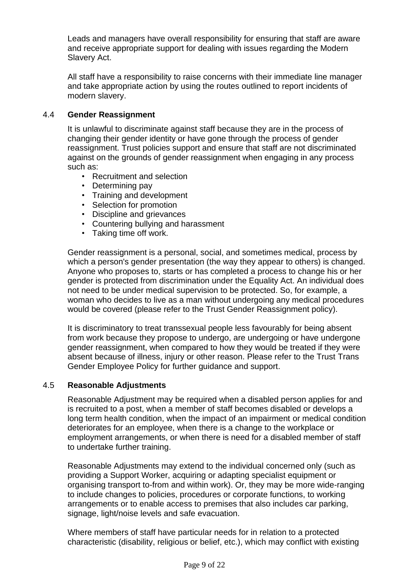Leads and managers have overall responsibility for ensuring that staff are aware and receive appropriate support for dealing with issues regarding the Modern Slavery Act.

All staff have a responsibility to raise concerns with their immediate line manager and take appropriate action by using the routes outlined to report incidents of modern slavery.

#### 4.4 **Gender Reassignment**

It is unlawful to discriminate against staff because they are in the process of changing their gender identity or have gone through the process of gender reassignment. Trust policies support and ensure that staff are not discriminated against on the grounds of gender reassignment when engaging in any process such as:

- Recruitment and selection
- Determining pay
- Training and development
- Selection for promotion
- Discipline and grievances
- Countering bullying and harassment
- Taking time off work.

Gender reassignment is a personal, social, and sometimes medical, process by which a person's gender presentation (the way they appear to others) is changed. Anyone who proposes to, starts or has completed a process to change his or her gender is protected from discrimination under the Equality Act. An individual does not need to be under medical supervision to be protected. So, for example, a woman who decides to live as a man without undergoing any medical procedures would be covered (please refer to the Trust Gender Reassignment policy).

It is discriminatory to treat transsexual people less favourably for being absent from work because they propose to undergo, are undergoing or have undergone gender reassignment, when compared to how they would be treated if they were absent because of illness, injury or other reason. Please refer to the Trust Trans Gender Employee Policy for further guidance and support.

#### 4.5 **Reasonable Adjustments**

Reasonable Adjustment may be required when a disabled person applies for and is recruited to a post, when a member of staff becomes disabled or develops a long term health condition, when the impact of an impairment or medical condition deteriorates for an employee, when there is a change to the workplace or employment arrangements, or when there is need for a disabled member of staff to undertake further training.

Reasonable Adjustments may extend to the individual concerned only (such as providing a Support Worker, acquiring or adapting specialist equipment or organising transport to-from and within work). Or, they may be more wide-ranging to include changes to policies, procedures or corporate functions, to working arrangements or to enable access to premises that also includes car parking, signage, light/noise levels and safe evacuation.

Where members of staff have particular needs for in relation to a protected characteristic (disability, religious or belief, etc.), which may conflict with existing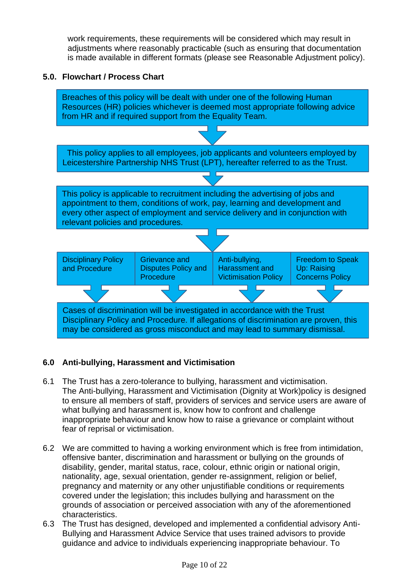work requirements, these requirements will be considered which may result in adjustments where reasonably practicable (such as ensuring that documentation is made available in different formats (please see Reasonable Adjustment policy).

#### **5.0. Flowchart / Process Chart**



#### **6.0 Anti-bullying, Harassment and Victimisation**

- 6.1 The Trust has a zero-tolerance to bullying, harassment and victimisation. The Anti-bullying, Harassment and Victimisation (Dignity at Work)policy is designed to ensure all members of staff, providers of services and service users are aware of what bullying and harassment is, know how to confront and challenge inappropriate behaviour and know how to raise a grievance or complaint without fear of reprisal or victimisation.
- 6.2 We are committed to having a working environment which is free from intimidation, offensive banter, discrimination and harassment or bullying on the grounds of disability, gender, marital status, race, colour, ethnic origin or national origin, nationality, age, sexual orientation, gender re-assignment, religion or belief, pregnancy and maternity or any other unjustifiable conditions or requirements covered under the legislation; this includes bullying and harassment on the grounds of association or perceived association with any of the aforementioned characteristics.
- 6.3 The Trust has designed, developed and implemented a confidential advisory Anti-Bullying and Harassment Advice Service that uses trained advisors to provide guidance and advice to individuals experiencing inappropriate behaviour. To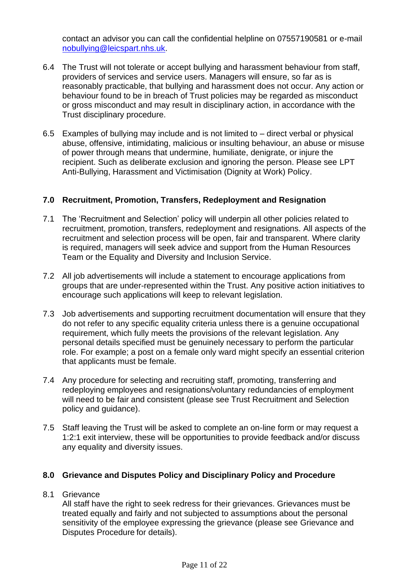contact an advisor you can call the confidential helpline on 07557190581 or e-mail [nobullying@leicspart.nhs.uk.](mailto:nobullying@leicspart.nhs.uk)

- 6.4 The Trust will not tolerate or accept bullying and harassment behaviour from staff, providers of services and service users. Managers will ensure, so far as is reasonably practicable, that bullying and harassment does not occur. Any action or behaviour found to be in breach of Trust policies may be regarded as misconduct or gross misconduct and may result in disciplinary action, in accordance with the Trust disciplinary procedure.
- 6.5 Examples of bullying may include and is not limited to direct verbal or physical abuse, offensive, intimidating, malicious or insulting behaviour, an abuse or misuse of power through means that undermine, humiliate, denigrate, or injure the recipient. Such as deliberate exclusion and ignoring the person. Please see LPT Anti-Bullying, Harassment and Victimisation (Dignity at Work) Policy.

#### **7.0 Recruitment, Promotion, Transfers, Redeployment and Resignation**

- 7.1 The 'Recruitment and Selection' policy will underpin all other policies related to recruitment, promotion, transfers, redeployment and resignations. All aspects of the recruitment and selection process will be open, fair and transparent. Where clarity is required, managers will seek advice and support from the Human Resources Team or the Equality and Diversity and Inclusion Service.
- 7.2 All job advertisements will include a statement to encourage applications from groups that are under-represented within the Trust. Any positive action initiatives to encourage such applications will keep to relevant legislation.
- 7.3 Job advertisements and supporting recruitment documentation will ensure that they do not refer to any specific equality criteria unless there is a genuine occupational requirement, which fully meets the provisions of the relevant legislation. Any personal details specified must be genuinely necessary to perform the particular role. For example; a post on a female only ward might specify an essential criterion that applicants must be female.
- 7.4 Any procedure for selecting and recruiting staff, promoting, transferring and redeploying employees and resignations/voluntary redundancies of employment will need to be fair and consistent (please see Trust Recruitment and Selection policy and guidance).
- 7.5 Staff leaving the Trust will be asked to complete an on-line form or may request a 1:2:1 exit interview, these will be opportunities to provide feedback and/or discuss any equality and diversity issues.

#### **8.0 Grievance and Disputes Policy and Disciplinary Policy and Procedure**

#### 8.1 Grievance

All staff have the right to seek redress for their grievances. Grievances must be treated equally and fairly and not subjected to assumptions about the personal sensitivity of the employee expressing the grievance (please see Grievance and Disputes Procedure for details).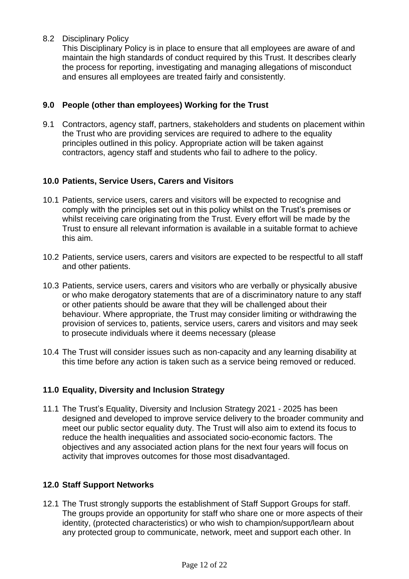8.2 Disciplinary Policy

This Disciplinary Policy is in place to ensure that all employees are aware of and maintain the high standards of conduct required by this Trust. It describes clearly the process for reporting, investigating and managing allegations of misconduct and ensures all employees are treated fairly and consistently.

### **9.0 People (other than employees) Working for the Trust**

9.1 Contractors, agency staff, partners, stakeholders and students on placement within the Trust who are providing services are required to adhere to the equality principles outlined in this policy. Appropriate action will be taken against contractors, agency staff and students who fail to adhere to the policy.

#### **10.0 Patients, Service Users, Carers and Visitors**

- 10.1 Patients, service users, carers and visitors will be expected to recognise and comply with the principles set out in this policy whilst on the Trust's premises or whilst receiving care originating from the Trust. Every effort will be made by the Trust to ensure all relevant information is available in a suitable format to achieve this aim.
- 10.2 Patients, service users, carers and visitors are expected to be respectful to all staff and other patients.
- 10.3 Patients, service users, carers and visitors who are verbally or physically abusive or who make derogatory statements that are of a discriminatory nature to any staff or other patients should be aware that they will be challenged about their behaviour. Where appropriate, the Trust may consider limiting or withdrawing the provision of services to, patients, service users, carers and visitors and may seek to prosecute individuals where it deems necessary (please
- 10.4 The Trust will consider issues such as non-capacity and any learning disability at this time before any action is taken such as a service being removed or reduced.

#### **11.0 Equality, Diversity and Inclusion Strategy**

11.1 The Trust's Equality, Diversity and Inclusion Strategy 2021 - 2025 has been designed and developed to improve service delivery to the broader community and meet our public sector equality duty. The Trust will also aim to extend its focus to reduce the health inequalities and associated socio-economic factors. The objectives and any associated action plans for the next four years will focus on activity that improves outcomes for those most disadvantaged.

#### **12.0 Staff Support Networks**

12.1 The Trust strongly supports the establishment of Staff Support Groups for staff. The groups provide an opportunity for staff who share one or more aspects of their identity, (protected characteristics) or who wish to champion/support/learn about any protected group to communicate, network, meet and support each other. In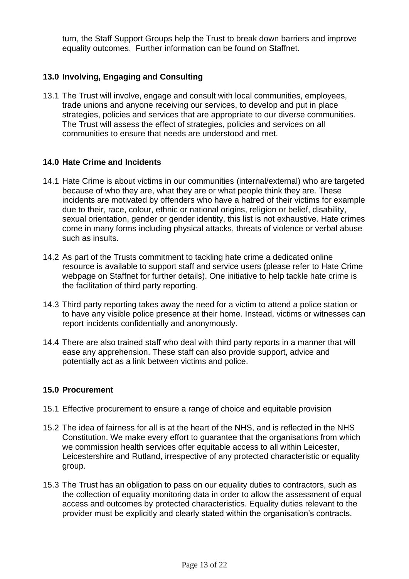turn, the Staff Support Groups help the Trust to break down barriers and improve equality outcomes. Further information can be found on Staffnet.

#### **13.0 Involving, Engaging and Consulting**

13.1 The Trust will involve, engage and consult with local communities, employees, trade unions and anyone receiving our services, to develop and put in place strategies, policies and services that are appropriate to our diverse communities. The Trust will assess the effect of strategies, policies and services on all communities to ensure that needs are understood and met.

#### **14.0 Hate Crime and Incidents**

- 14.1 Hate Crime is about victims in our communities (internal/external) who are targeted because of who they are, what they are or what people think they are. These incidents are motivated by offenders who have a hatred of their victims for example due to their, race, colour, ethnic or national origins, religion or belief, disability, sexual orientation, gender or gender identity, this list is not exhaustive. Hate crimes come in many forms including physical attacks, threats of violence or verbal abuse such as insults.
- 14.2 As part of the Trusts commitment to tackling hate crime a dedicated online resource is available to support staff and service users (please refer to Hate Crime webpage on Staffnet for further details). One initiative to help tackle hate crime is the facilitation of third party reporting.
- 14.3 Third party reporting takes away the need for a victim to attend a police station or to have any visible police presence at their home. Instead, victims or witnesses can report incidents confidentially and anonymously.
- 14.4 There are also trained staff who deal with third party reports in a manner that will ease any apprehension. These staff can also provide support, advice and potentially act as a link between victims and police.

#### **15.0 Procurement**

- 15.1 Effective procurement to ensure a range of choice and equitable provision
- 15.2 The idea of fairness for all is at the heart of the NHS, and is reflected in the NHS Constitution. We make every effort to guarantee that the organisations from which we commission health services offer equitable access to all within Leicester, Leicestershire and Rutland, irrespective of any protected characteristic or equality group.
- 15.3 The Trust has an obligation to pass on our equality duties to contractors, such as the collection of equality monitoring data in order to allow the assessment of equal access and outcomes by protected characteristics. Equality duties relevant to the provider must be explicitly and clearly stated within the organisation's contracts.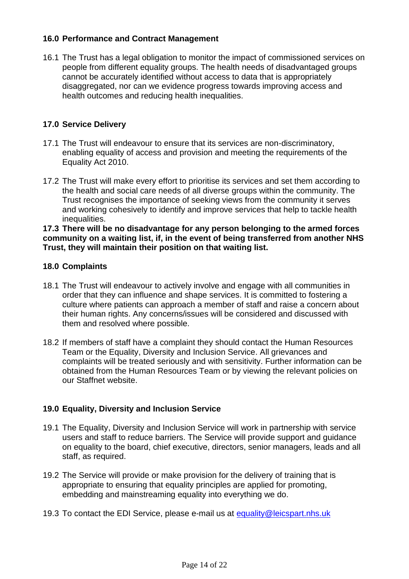#### **16.0 Performance and Contract Management**

16.1 The Trust has a legal obligation to monitor the impact of commissioned services on people from different equality groups. The health needs of disadvantaged groups cannot be accurately identified without access to data that is appropriately disaggregated, nor can we evidence progress towards improving access and health outcomes and reducing health inequalities.

#### **17.0 Service Delivery**

- 17.1 The Trust will endeavour to ensure that its services are non-discriminatory, enabling equality of access and provision and meeting the requirements of the Equality Act 2010.
- 17.2 The Trust will make every effort to prioritise its services and set them according to the health and social care needs of all diverse groups within the community. The Trust recognises the importance of seeking views from the community it serves and working cohesively to identify and improve services that help to tackle health inequalities.

#### **17.3 There will be no disadvantage for any person belonging to the armed forces community on a waiting list, if, in the event of being transferred from another NHS Trust, they will maintain their position on that waiting list.**

#### **18.0 Complaints**

- 18.1 The Trust will endeavour to actively involve and engage with all communities in order that they can influence and shape services. It is committed to fostering a culture where patients can approach a member of staff and raise a concern about their human rights. Any concerns/issues will be considered and discussed with them and resolved where possible.
- 18.2 If members of staff have a complaint they should contact the Human Resources Team or the Equality, Diversity and Inclusion Service. All grievances and complaints will be treated seriously and with sensitivity. Further information can be obtained from the Human Resources Team or by viewing the relevant policies on our Staffnet website.

#### **19.0 Equality, Diversity and Inclusion Service**

- 19.1 The Equality, Diversity and Inclusion Service will work in partnership with service users and staff to reduce barriers. The Service will provide support and guidance on equality to the board, chief executive, directors, senior managers, leads and all staff, as required.
- 19.2 The Service will provide or make provision for the delivery of training that is appropriate to ensuring that equality principles are applied for promoting, embedding and mainstreaming equality into everything we do.
- 19.3 To contact the EDI Service, please e-mail us at [equality@leicspart.nhs.uk](mailto:equality@leicspart.nhs.uk)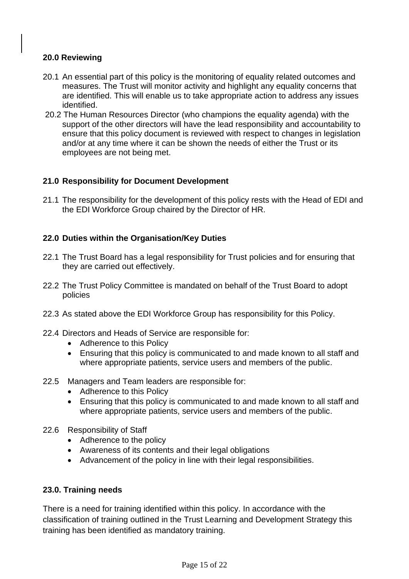#### **20.0 Reviewing**

- 20.1 An essential part of this policy is the monitoring of equality related outcomes and measures. The Trust will monitor activity and highlight any equality concerns that are identified. This will enable us to take appropriate action to address any issues identified.
- 20.2 The Human Resources Director (who champions the equality agenda) with the support of the other directors will have the lead responsibility and accountability to ensure that this policy document is reviewed with respect to changes in legislation and/or at any time where it can be shown the needs of either the Trust or its employees are not being met.

#### **21.0 Responsibility for Document Development**

21.1 The responsibility for the development of this policy rests with the Head of EDI and the EDI Workforce Group chaired by the Director of HR.

#### **22.0 Duties within the Organisation/Key Duties**

- 22.1 The Trust Board has a legal responsibility for Trust policies and for ensuring that they are carried out effectively.
- 22.2 The Trust Policy Committee is mandated on behalf of the Trust Board to adopt policies
- 22.3 As stated above the EDI Workforce Group has responsibility for this Policy.
- 22.4 Directors and Heads of Service are responsible for:
	- Adherence to this Policy
	- Ensuring that this policy is communicated to and made known to all staff and where appropriate patients, service users and members of the public.
- 22.5 Managers and Team leaders are responsible for:
	- Adherence to this Policy
	- Ensuring that this policy is communicated to and made known to all staff and where appropriate patients, service users and members of the public.
- 22.6 Responsibility of Staff
	- Adherence to the policy
	- Awareness of its contents and their legal obligations
	- Advancement of the policy in line with their legal responsibilities.

#### **23.0. Training needs**

There is a need for training identified within this policy. In accordance with the classification of training outlined in the Trust Learning and Development Strategy this training has been identified as mandatory training.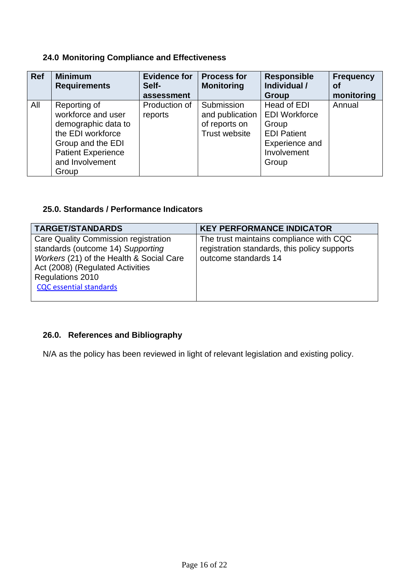#### **24.0 Monitoring Compliance and Effectiveness**

| <b>Ref</b> | <b>Minimum</b><br><b>Requirements</b>                                                                                                                        | <b>Evidence for</b><br>Self-<br>assessment | <b>Process for</b><br><b>Monitoring</b>                                | <b>Responsible</b><br>Individual /<br><b>Group</b>                                                           | Frequency<br>Οf<br>monitoring |
|------------|--------------------------------------------------------------------------------------------------------------------------------------------------------------|--------------------------------------------|------------------------------------------------------------------------|--------------------------------------------------------------------------------------------------------------|-------------------------------|
| All        | Reporting of<br>workforce and user<br>demographic data to<br>the EDI workforce<br>Group and the EDI<br><b>Patient Experience</b><br>and Involvement<br>Group | Production of<br>reports                   | Submission<br>and publication<br>of reports on<br><b>Trust website</b> | Head of EDI<br><b>EDI Workforce</b><br>Group<br><b>EDI Patient</b><br>Experience and<br>Involvement<br>Group | Annual                        |

## **25.0. Standards / Performance Indicators**

| <b>TARGET/STANDARDS</b>                                                                                                                                                                                         | <b>KEY PERFORMANCE INDICATOR</b>                                                                                |
|-----------------------------------------------------------------------------------------------------------------------------------------------------------------------------------------------------------------|-----------------------------------------------------------------------------------------------------------------|
| Care Quality Commission registration<br>standards (outcome 14) Supporting<br>Workers (21) of the Health & Social Care<br>Act (2008) (Regulated Activities<br>Regulations 2010<br><b>CQC</b> essential standards | The trust maintains compliance with CQC<br>registration standards, this policy supports<br>outcome standards 14 |

## **26.0. References and Bibliography**

N/A as the policy has been reviewed in light of relevant legislation and existing policy.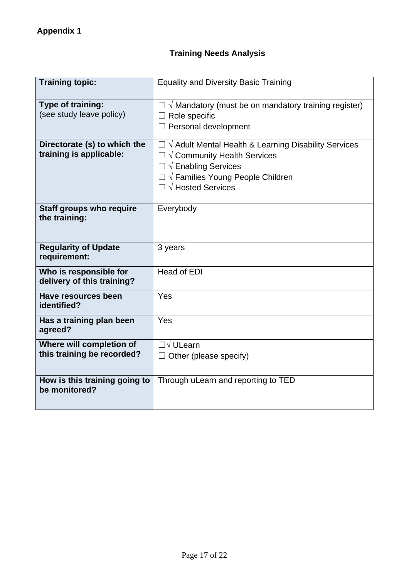# **Training Needs Analysis**

| <b>Training topic:</b>                                  | <b>Equality and Diversity Basic Training</b>                                                                                                                                                                          |  |
|---------------------------------------------------------|-----------------------------------------------------------------------------------------------------------------------------------------------------------------------------------------------------------------------|--|
| Type of training:<br>(see study leave policy)           | $\Box \vee$ Mandatory (must be on mandatory training register)<br>$\Box$ Role specific<br>$\Box$ Personal development                                                                                                 |  |
| Directorate (s) to which the<br>training is applicable: | $\Box \vee$ Adult Mental Health & Learning Disability Services<br>$\Box \vee$ Community Health Services<br>$\Box \lor$ Enabling Services<br>$\Box \vee$ Families Young People Children<br>$\Box \vee$ Hosted Services |  |
| <b>Staff groups who require</b><br>the training:        | Everybody                                                                                                                                                                                                             |  |
| <b>Regularity of Update</b><br>requirement:             | 3 years                                                                                                                                                                                                               |  |
| Who is responsible for<br>delivery of this training?    | <b>Head of EDI</b>                                                                                                                                                                                                    |  |
| <b>Have resources been</b><br>identified?               | Yes                                                                                                                                                                                                                   |  |
| Has a training plan been<br>agreed?                     | Yes                                                                                                                                                                                                                   |  |
| Where will completion of<br>this training be recorded?  | $\Box \lor$ ULearn<br>$\Box$ Other (please specify)                                                                                                                                                                   |  |
| How is this training going to<br>be monitored?          | Through uLearn and reporting to TED                                                                                                                                                                                   |  |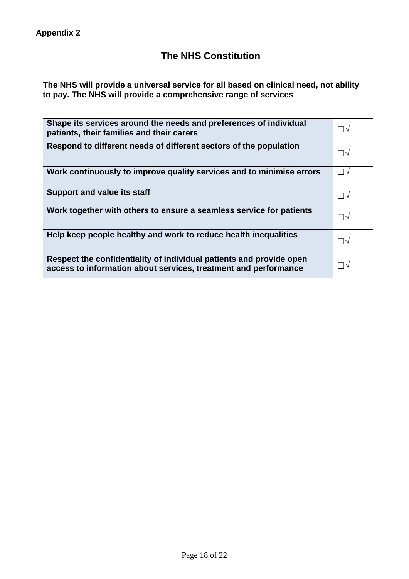## **The NHS Constitution**

**The NHS will provide a universal service for all based on clinical need, not ability to pay. The NHS will provide a comprehensive range of services**

| Shape its services around the needs and preferences of individual<br>patients, their families and their carers                         | ∏√                       |
|----------------------------------------------------------------------------------------------------------------------------------------|--------------------------|
| Respond to different needs of different sectors of the population                                                                      | $\vert \ \ \vert \gamma$ |
| Work continuously to improve quality services and to minimise errors                                                                   | ∏่ง                      |
| <b>Support and value its staff</b>                                                                                                     | $\vert \ \vert \sqrt$    |
| Work together with others to ensure a seamless service for patients                                                                    | □√                       |
| Help keep people healthy and work to reduce health inequalities                                                                        | ∏√                       |
| Respect the confidentiality of individual patients and provide open<br>access to information about services, treatment and performance | $\overline{\wedge}$      |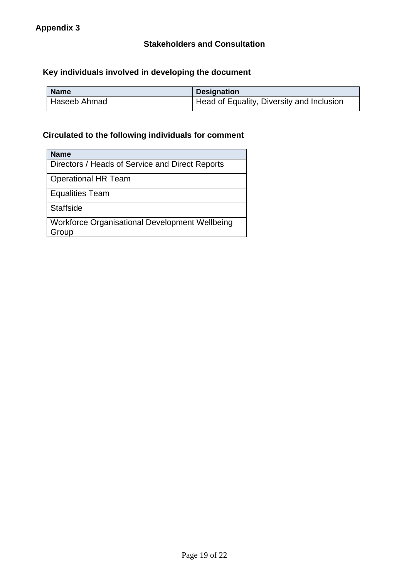## **Key individuals involved in developing the document**

| <b>Name</b>               | <b>Designation</b>                        |
|---------------------------|-------------------------------------------|
| <sup>I</sup> Haseeb Ahmad | Head of Equality, Diversity and Inclusion |

## **Circulated to the following individuals for comment**

| <b>Name</b>                                             |
|---------------------------------------------------------|
| Directors / Heads of Service and Direct Reports         |
| <b>Operational HR Team</b>                              |
| <b>Equalities Team</b>                                  |
| <b>Staffside</b>                                        |
| Workforce Organisational Development Wellbeing<br>Group |
|                                                         |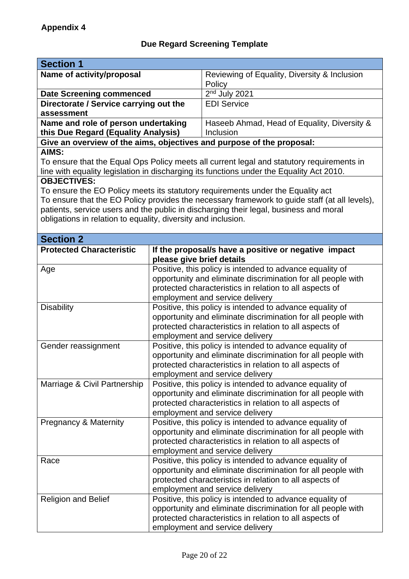# **Due Regard Screening Template**

| <b>Section 1</b>                                                           |                                                                                                                         |                                                                                               |  |  |
|----------------------------------------------------------------------------|-------------------------------------------------------------------------------------------------------------------------|-----------------------------------------------------------------------------------------------|--|--|
| Name of activity/proposal                                                  |                                                                                                                         | Reviewing of Equality, Diversity & Inclusion<br>Policy                                        |  |  |
| <b>Date Screening commenced</b>                                            |                                                                                                                         | $2nd$ July 2021                                                                               |  |  |
| Directorate / Service carrying out the                                     |                                                                                                                         | <b>EDI Service</b>                                                                            |  |  |
| assessment                                                                 |                                                                                                                         |                                                                                               |  |  |
| Name and role of person undertaking<br>this Due Regard (Equality Analysis) |                                                                                                                         | Haseeb Ahmad, Head of Equality, Diversity &<br>Inclusion                                      |  |  |
|                                                                            |                                                                                                                         | Give an overview of the aims, objectives and purpose of the proposal:                         |  |  |
| AIMS:                                                                      |                                                                                                                         |                                                                                               |  |  |
|                                                                            |                                                                                                                         | To ensure that the Equal Ops Policy meets all current legal and statutory requirements in     |  |  |
|                                                                            |                                                                                                                         | line with equality legislation in discharging its functions under the Equality Act 2010.      |  |  |
| <b>OBJECTIVES:</b>                                                         |                                                                                                                         |                                                                                               |  |  |
|                                                                            |                                                                                                                         | To ensure the EO Policy meets its statutory requirements under the Equality act               |  |  |
|                                                                            |                                                                                                                         | To ensure that the EO Policy provides the necessary framework to guide staff (at all levels), |  |  |
|                                                                            |                                                                                                                         | patients, service users and the public in discharging their legal, business and moral         |  |  |
| obligations in relation to equality, diversity and inclusion.              |                                                                                                                         |                                                                                               |  |  |
|                                                                            |                                                                                                                         |                                                                                               |  |  |
| <b>Section 2</b>                                                           |                                                                                                                         |                                                                                               |  |  |
| <b>Protected Characteristic</b>                                            |                                                                                                                         | If the proposal/s have a positive or negative impact                                          |  |  |
|                                                                            | please give brief details                                                                                               |                                                                                               |  |  |
| Age                                                                        |                                                                                                                         | Positive, this policy is intended to advance equality of                                      |  |  |
|                                                                            |                                                                                                                         | opportunity and eliminate discrimination for all people with                                  |  |  |
|                                                                            |                                                                                                                         | protected characteristics in relation to all aspects of                                       |  |  |
|                                                                            |                                                                                                                         |                                                                                               |  |  |
| <b>Disability</b>                                                          | employment and service delivery                                                                                         |                                                                                               |  |  |
|                                                                            | Positive, this policy is intended to advance equality of                                                                |                                                                                               |  |  |
|                                                                            | opportunity and eliminate discrimination for all people with<br>protected characteristics in relation to all aspects of |                                                                                               |  |  |
|                                                                            |                                                                                                                         |                                                                                               |  |  |
| Gender reassignment                                                        | employment and service delivery<br>Positive, this policy is intended to advance equality of                             |                                                                                               |  |  |
|                                                                            |                                                                                                                         | opportunity and eliminate discrimination for all people with                                  |  |  |
|                                                                            |                                                                                                                         | protected characteristics in relation to all aspects of                                       |  |  |
|                                                                            |                                                                                                                         | employment and service delivery                                                               |  |  |
| Marriage & Civil Partnership                                               |                                                                                                                         | Positive, this policy is intended to advance equality of                                      |  |  |
|                                                                            |                                                                                                                         | opportunity and eliminate discrimination for all people with                                  |  |  |
|                                                                            |                                                                                                                         | protected characteristics in relation to all aspects of                                       |  |  |
|                                                                            |                                                                                                                         |                                                                                               |  |  |
| <b>Pregnancy &amp; Maternity</b>                                           | employment and service delivery<br>Positive, this policy is intended to advance equality of                             |                                                                                               |  |  |
|                                                                            |                                                                                                                         | opportunity and eliminate discrimination for all people with                                  |  |  |
|                                                                            |                                                                                                                         |                                                                                               |  |  |
|                                                                            | protected characteristics in relation to all aspects of<br>employment and service delivery                              |                                                                                               |  |  |
| Race                                                                       | Positive, this policy is intended to advance equality of                                                                |                                                                                               |  |  |
|                                                                            |                                                                                                                         | opportunity and eliminate discrimination for all people with                                  |  |  |
|                                                                            |                                                                                                                         | protected characteristics in relation to all aspects of                                       |  |  |
|                                                                            |                                                                                                                         | employment and service delivery                                                               |  |  |
| <b>Religion and Belief</b>                                                 |                                                                                                                         | Positive, this policy is intended to advance equality of                                      |  |  |
|                                                                            |                                                                                                                         | opportunity and eliminate discrimination for all people with                                  |  |  |
|                                                                            |                                                                                                                         | protected characteristics in relation to all aspects of                                       |  |  |
|                                                                            |                                                                                                                         | employment and service delivery                                                               |  |  |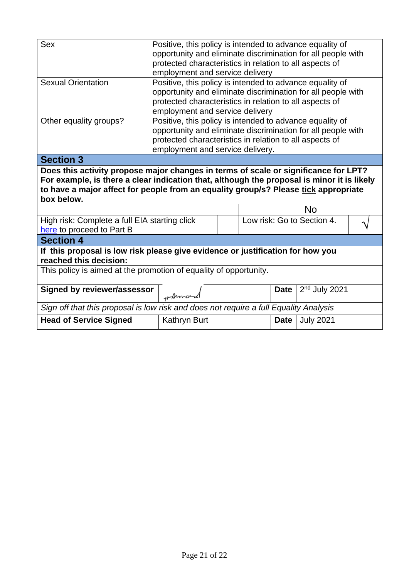| <b>Sex</b>                                                                                                                                                                                                                                                                             | Positive, this policy is intended to advance equality of<br>opportunity and eliminate discrimination for all people with<br>protected characteristics in relation to all aspects of<br>employment and service delivery                                     |  |                            |                  |  |  |  |
|----------------------------------------------------------------------------------------------------------------------------------------------------------------------------------------------------------------------------------------------------------------------------------------|------------------------------------------------------------------------------------------------------------------------------------------------------------------------------------------------------------------------------------------------------------|--|----------------------------|------------------|--|--|--|
| <b>Sexual Orientation</b>                                                                                                                                                                                                                                                              | Positive, this policy is intended to advance equality of<br>opportunity and eliminate discrimination for all people with<br>protected characteristics in relation to all aspects of                                                                        |  |                            |                  |  |  |  |
| Other equality groups?                                                                                                                                                                                                                                                                 | employment and service delivery<br>Positive, this policy is intended to advance equality of<br>opportunity and eliminate discrimination for all people with<br>protected characteristics in relation to all aspects of<br>employment and service delivery. |  |                            |                  |  |  |  |
| <b>Section 3</b>                                                                                                                                                                                                                                                                       |                                                                                                                                                                                                                                                            |  |                            |                  |  |  |  |
| Does this activity propose major changes in terms of scale or significance for LPT?<br>For example, is there a clear indication that, although the proposal is minor it is likely<br>to have a major affect for people from an equality group/s? Please tick appropriate<br>box below. |                                                                                                                                                                                                                                                            |  |                            |                  |  |  |  |
|                                                                                                                                                                                                                                                                                        |                                                                                                                                                                                                                                                            |  |                            | <b>No</b>        |  |  |  |
| High risk: Complete a full EIA starting click<br>here to proceed to Part B                                                                                                                                                                                                             |                                                                                                                                                                                                                                                            |  | Low risk: Go to Section 4. |                  |  |  |  |
| <b>Section 4</b>                                                                                                                                                                                                                                                                       |                                                                                                                                                                                                                                                            |  |                            |                  |  |  |  |
| If this proposal is low risk please give evidence or justification for how you<br>reached this decision:                                                                                                                                                                               |                                                                                                                                                                                                                                                            |  |                            |                  |  |  |  |
| This policy is aimed at the promotion of equality of opportunity.                                                                                                                                                                                                                      |                                                                                                                                                                                                                                                            |  |                            |                  |  |  |  |
|                                                                                                                                                                                                                                                                                        |                                                                                                                                                                                                                                                            |  |                            |                  |  |  |  |
| <b>Signed by reviewer/assessor</b>                                                                                                                                                                                                                                                     | +Anna                                                                                                                                                                                                                                                      |  | <b>Date</b>                | $2nd$ July 2021  |  |  |  |
| Sign off that this proposal is low risk and does not require a full Equality Analysis                                                                                                                                                                                                  |                                                                                                                                                                                                                                                            |  |                            |                  |  |  |  |
| <b>Head of Service Signed</b>                                                                                                                                                                                                                                                          | <b>Kathryn Burt</b>                                                                                                                                                                                                                                        |  | <b>Date</b>                | <b>July 2021</b> |  |  |  |